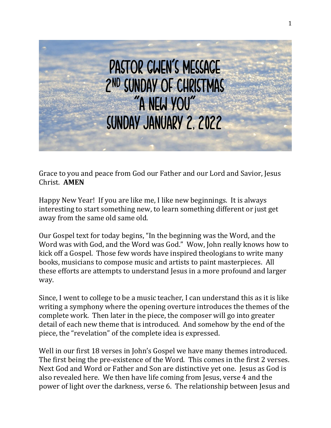

Grace to you and peace from God our Father and our Lord and Savior, Jesus Christ. **AMEN**

Happy New Year! If you are like me, I like new beginnings. It is always interesting to start something new, to learn something different or just get away from the same old same old.

Our Gospel text for today begins, "In the beginning was the Word, and the Word was with God, and the Word was God." Wow, John really knows how to kick off a Gospel. Those few words have inspired theologians to write many books, musicians to compose music and artists to paint masterpieces. All these efforts are attempts to understand Jesus in a more profound and larger way.

Since, I went to college to be a music teacher, I can understand this as it is like writing a symphony where the opening overture introduces the themes of the complete work. Then later in the piece, the composer will go into greater detail of each new theme that is introduced. And somehow by the end of the piece, the "revelation" of the complete idea is expressed.

Well in our first 18 verses in John's Gospel we have many themes introduced. The first being the pre-existence of the Word. This comes in the first 2 verses. Next God and Word or Father and Son are distinctive yet one. Jesus as God is also revealed here. We then have life coming from Jesus, verse 4 and the power of light over the darkness, verse 6. The relationship between Jesus and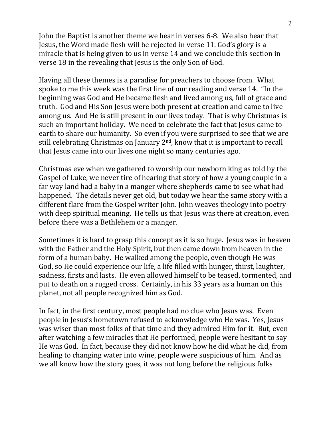John the Baptist is another theme we hear in verses 6-8. We also hear that Jesus, the Word made flesh will be rejected in verse 11. God's glory is a miracle that is being given to us in verse 14 and we conclude this section in verse 18 in the revealing that Jesus is the only Son of God.

Having all these themes is a paradise for preachers to choose from. What spoke to me this week was the first line of our reading and verse 14. "In the beginning was God and He became flesh and lived among us, full of grace and truth. God and His Son Jesus were both present at creation and came to live among us. And He is still present in our lives today. That is why Christmas is such an important holiday. We need to celebrate the fact that Jesus came to earth to share our humanity. So even if you were surprised to see that we are still celebrating Christmas on January  $2<sup>nd</sup>$ , know that it is important to recall that Jesus came into our lives one night so many centuries ago.

Christmas eve when we gathered to worship our newborn king as told by the Gospel of Luke, we never tire of hearing that story of how a young couple in a far way land had a baby in a manger where shepherds came to see what had happened. The details never get old, but today we hear the same story with a different flare from the Gospel writer John. John weaves theology into poetry with deep spiritual meaning. He tells us that Jesus was there at creation, even before there was a Bethlehem or a manger.

Sometimes it is hard to grasp this concept as it is so huge. Jesus was in heaven with the Father and the Holy Spirit, but then came down from heaven in the form of a human baby. He walked among the people, even though He was God, so He could experience our life, a life filled with hunger, thirst, laughter, sadness, firsts and lasts. He even allowed himself to be teased, tormented, and put to death on a rugged cross. Certainly, in his 33 years as a human on this planet, not all people recognized him as God.

In fact, in the first century, most people had no clue who Jesus was. Even people in Jesus's hometown refused to acknowledge who He was. Yes, Jesus was wiser than most folks of that time and they admired Him for it. But, even after watching a few miracles that He performed, people were hesitant to say He was God. In fact, because they did not know how he did what he did, from healing to changing water into wine, people were suspicious of him. And as we all know how the story goes, it was not long before the religious folks